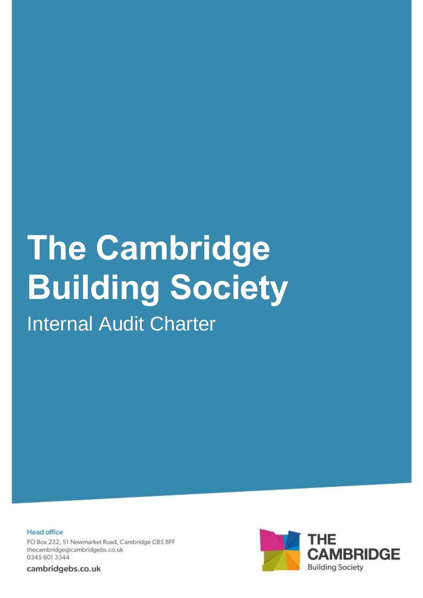# **The Cambridge Building Society**

Internal Audit Charter

**Head office** PO Box 232, 51 Newmarket Road, Cambridge CB5 8FF thecambridge@cambridgebs.co.uk 0345 601 3344

cambridgebs.co.uk

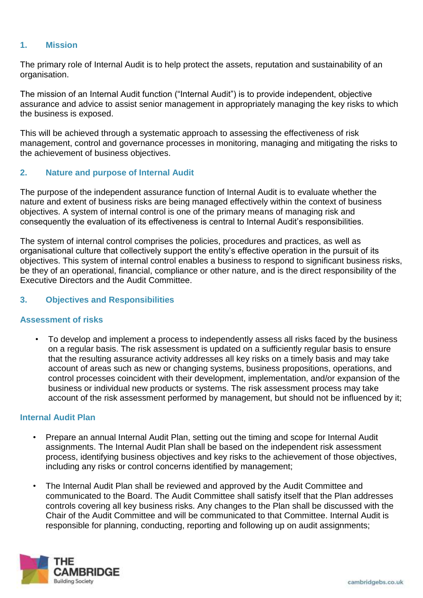# **1. Mission**

The primary role of Internal Audit is to help protect the assets, reputation and sustainability of an organisation.

The mission of an Internal Audit function ("Internal Audit") is to provide independent, objective assurance and advice to assist senior management in appropriately managing the key risks to which the business is exposed.

This will be achieved through a systematic approach to assessing the effectiveness of risk management, control and governance processes in monitoring, managing and mitigating the risks to the achievement of business objectives.

## **2. Nature and purpose of Internal Audit**

The purpose of the independent assurance function of Internal Audit is to evaluate whether the nature and extent of business risks are being managed effectively within the context of business objectives. A system of internal control is one of the primary means of managing risk and consequently the evaluation of its effectiveness is central to Internal Audit's responsibilities.

The system of internal control comprises the policies, procedures and practices, as well as organisational culture that collectively support the entity's effective operation in the pursuit of its objectives. This system of internal control enables a business to respond to significant business risks, be they of an operational, financial, compliance or other nature, and is the direct responsibility of the Executive Directors and the Audit Committee.

#### **3. Objectives and Responsibilities**

#### **Assessment of risks**

• To develop and implement a process to independently assess all risks faced by the business on a regular basis. The risk assessment is updated on a sufficiently regular basis to ensure that the resulting assurance activity addresses all key risks on a timely basis and may take account of areas such as new or changing systems, business propositions, operations, and control processes coincident with their development, implementation, and/or expansion of the business or individual new products or systems. The risk assessment process may take account of the risk assessment performed by management, but should not be influenced by it;

#### **Internal Audit Plan**

- Prepare an annual Internal Audit Plan, setting out the timing and scope for Internal Audit assignments. The Internal Audit Plan shall be based on the independent risk assessment process, identifying business objectives and key risks to the achievement of those objectives, including any risks or control concerns identified by management;
- The Internal Audit Plan shall be reviewed and approved by the Audit Committee and communicated to the Board. The Audit Committee shall satisfy itself that the Plan addresses controls covering all key business risks. Any changes to the Plan shall be discussed with the Chair of the Audit Committee and will be communicated to that Committee. Internal Audit is responsible for planning, conducting, reporting and following up on audit assignments;

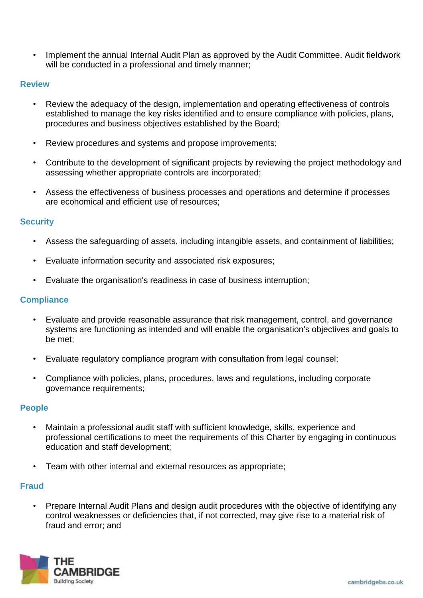Implement the annual Internal Audit Plan as approved by the Audit Committee. Audit fieldwork will be conducted in a professional and timely manner;

## **Review**

- Review the adequacy of the design, implementation and operating effectiveness of controls established to manage the key risks identified and to ensure compliance with policies, plans, procedures and business objectives established by the Board;
- Review procedures and systems and propose improvements;
- Contribute to the development of significant projects by reviewing the project methodology and assessing whether appropriate controls are incorporated;
- Assess the effectiveness of business processes and operations and determine if processes are economical and efficient use of resources;

## **Security**

- Assess the safeguarding of assets, including intangible assets, and containment of liabilities;
- Evaluate information security and associated risk exposures;
- Evaluate the organisation's readiness in case of business interruption;

## **Compliance**

- Evaluate and provide reasonable assurance that risk management, control, and governance systems are functioning as intended and will enable the organisation's objectives and goals to be met;
- Evaluate regulatory compliance program with consultation from legal counsel;
- Compliance with policies, plans, procedures, laws and regulations, including corporate governance requirements;

## **People**

- Maintain a professional audit staff with sufficient knowledge, skills, experience and professional certifications to meet the requirements of this Charter by engaging in continuous education and staff development;
- Team with other internal and external resources as appropriate;

# **Fraud**

• Prepare Internal Audit Plans and design audit procedures with the objective of identifying any control weaknesses or deficiencies that, if not corrected, may give rise to a material risk of fraud and error; and

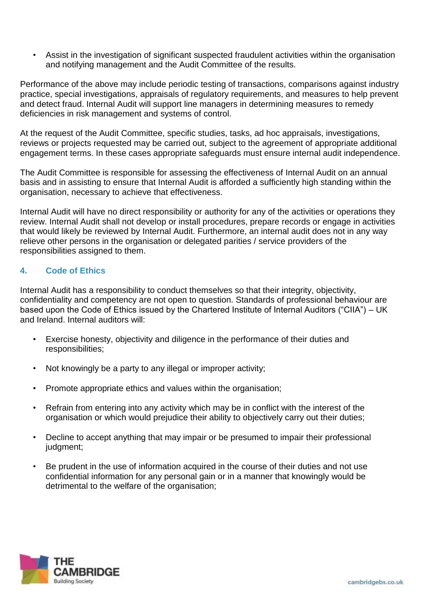• Assist in the investigation of significant suspected fraudulent activities within the organisation and notifying management and the Audit Committee of the results.

Performance of the above may include periodic testing of transactions, comparisons against industry practice, special investigations, appraisals of regulatory requirements, and measures to help prevent and detect fraud. Internal Audit will support line managers in determining measures to remedy deficiencies in risk management and systems of control.

At the request of the Audit Committee, specific studies, tasks, ad hoc appraisals, investigations, reviews or projects requested may be carried out, subject to the agreement of appropriate additional engagement terms. In these cases appropriate safeguards must ensure internal audit independence.

The Audit Committee is responsible for assessing the effectiveness of Internal Audit on an annual basis and in assisting to ensure that Internal Audit is afforded a sufficiently high standing within the organisation, necessary to achieve that effectiveness.

Internal Audit will have no direct responsibility or authority for any of the activities or operations they review. Internal Audit shall not develop or install procedures, prepare records or engage in activities that would likely be reviewed by Internal Audit. Furthermore, an internal audit does not in any way relieve other persons in the organisation or delegated parities / service providers of the responsibilities assigned to them.

## **4. Code of Ethics**

Internal Audit has a responsibility to conduct themselves so that their integrity, objectivity, confidentiality and competency are not open to question. Standards of professional behaviour are based upon the Code of Ethics issued by the Chartered Institute of Internal Auditors ("CIIA") – UK and Ireland. Internal auditors will:

- Exercise honesty, objectivity and diligence in the performance of their duties and responsibilities;
- Not knowingly be a party to any illegal or improper activity;
- Promote appropriate ethics and values within the organisation;
- Refrain from entering into any activity which may be in conflict with the interest of the organisation or which would prejudice their ability to objectively carry out their duties;
- Decline to accept anything that may impair or be presumed to impair their professional judgment;
- Be prudent in the use of information acquired in the course of their duties and not use confidential information for any personal gain or in a manner that knowingly would be detrimental to the welfare of the organisation;

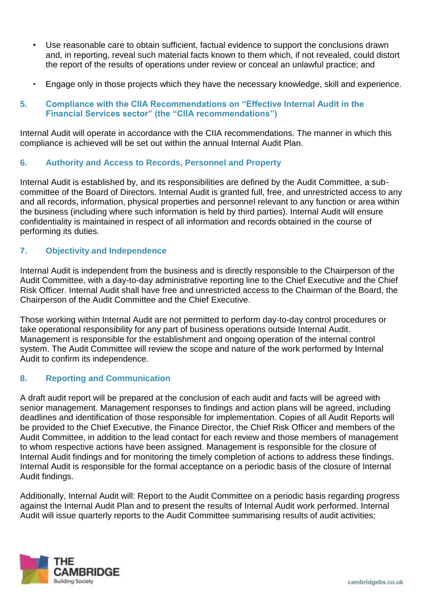- Use reasonable care to obtain sufficient, factual evidence to support the conclusions drawn and, in reporting, reveal such material facts known to them which, if not revealed, could distort the report of the results of operations under review or conceal an unlawful practice; and
- Engage only in those projects which they have the necessary knowledge, skill and experience.

## **5. Compliance with the CIIA Recommendations on "Effective Internal Audit in the Financial Services sector" (the "CIIA recommendations")**

Internal Audit will operate in accordance with the CIIA recommendations. The manner in which this compliance is achieved will be set out within the annual Internal Audit Plan.

## **6. Authority and Access to Records, Personnel and Property**

Internal Audit is established by, and its responsibilities are defined by the Audit Committee, a subcommittee of the Board of Directors. Internal Audit is granted full, free, and unrestricted access to any and all records, information, physical properties and personnel relevant to any function or area within the business (including where such information is held by third parties). Internal Audit will ensure confidentiality is maintained in respect of all information and records obtained in the course of performing its duties.

## **7. Objectivity and Independence**

Internal Audit is independent from the business and is directly responsible to the Chairperson of the Audit Committee, with a day-to-day administrative reporting line to the Chief Executive and the Chief Risk Officer. Internal Audit shall have free and unrestricted access to the Chairman of the Board, the Chairperson of the Audit Committee and the Chief Executive.

Those working within Internal Audit are not permitted to perform day-to-day control procedures or take operational responsibility for any part of business operations outside Internal Audit. Management is responsible for the establishment and ongoing operation of the internal control system. The Audit Committee will review the scope and nature of the work performed by Internal Audit to confirm its independence.

# **8. Reporting and Communication**

A draft audit report will be prepared at the conclusion of each audit and facts will be agreed with senior management. Management responses to findings and action plans will be agreed, including deadlines and identification of those responsible for implementation. Copies of all Audit Reports will be provided to the Chief Executive, the Finance Director, the Chief Risk Officer and members of the Audit Committee, in addition to the lead contact for each review and those members of management to whom respective actions have been assigned. Management is responsible for the closure of Internal Audit findings and for monitoring the timely completion of actions to address these findings. Internal Audit is responsible for the formal acceptance on a periodic basis of the closure of Internal Audit findings.

Additionally, Internal Audit will: Report to the Audit Committee on a periodic basis regarding progress against the Internal Audit Plan and to present the results of Internal Audit work performed. Internal Audit will issue quarterly reports to the Audit Committee summarising results of audit activities;

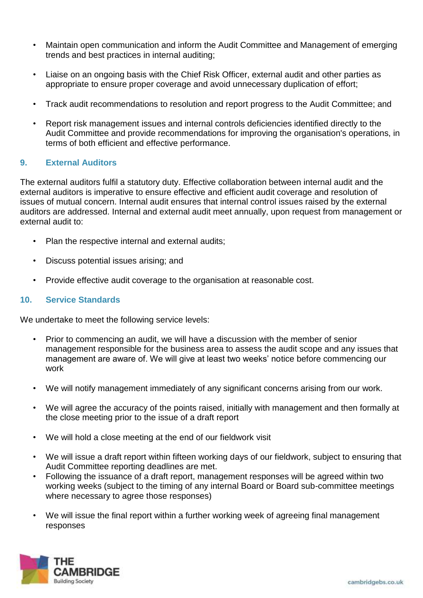- Maintain open communication and inform the Audit Committee and Management of emerging trends and best practices in internal auditing;
- Liaise on an ongoing basis with the Chief Risk Officer, external audit and other parties as appropriate to ensure proper coverage and avoid unnecessary duplication of effort;
- Track audit recommendations to resolution and report progress to the Audit Committee; and
- Report risk management issues and internal controls deficiencies identified directly to the Audit Committee and provide recommendations for improving the organisation's operations, in terms of both efficient and effective performance.

## **9. External Auditors**

The external auditors fulfil a statutory duty. Effective collaboration between internal audit and the external auditors is imperative to ensure effective and efficient audit coverage and resolution of issues of mutual concern. Internal audit ensures that internal control issues raised by the external auditors are addressed. Internal and external audit meet annually, upon request from management or external audit to:

- Plan the respective internal and external audits;
- Discuss potential issues arising; and
- Provide effective audit coverage to the organisation at reasonable cost.

#### **10. Service Standards**

We undertake to meet the following service levels:

- Prior to commencing an audit, we will have a discussion with the member of senior management responsible for the business area to assess the audit scope and any issues that management are aware of. We will give at least two weeks' notice before commencing our work
- We will notify management immediately of any significant concerns arising from our work.
- We will agree the accuracy of the points raised, initially with management and then formally at the close meeting prior to the issue of a draft report
- We will hold a close meeting at the end of our fieldwork visit
- We will issue a draft report within fifteen working days of our fieldwork, subject to ensuring that Audit Committee reporting deadlines are met.
- Following the issuance of a draft report, management responses will be agreed within two working weeks (subject to the timing of any internal Board or Board sub-committee meetings where necessary to agree those responses)
- We will issue the final report within a further working week of agreeing final management responses

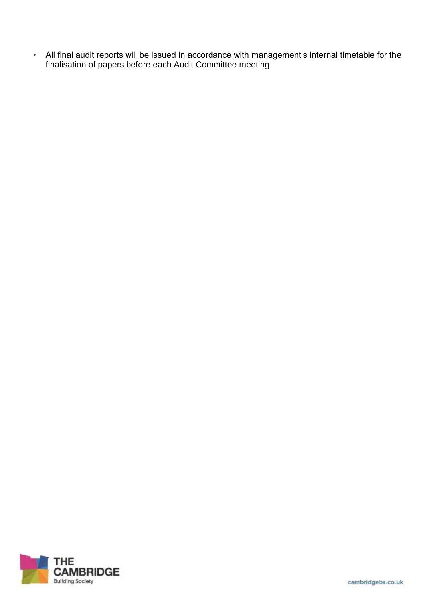• All final audit reports will be issued in accordance with management's internal timetable for the finalisation of papers before each Audit Committee meeting